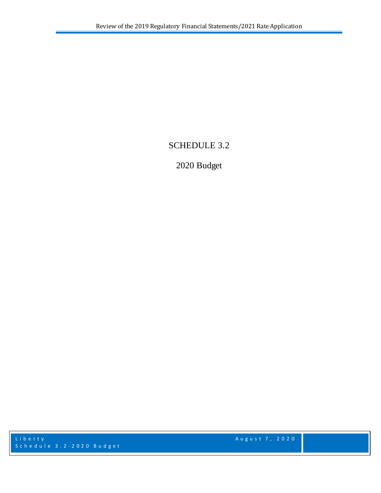# SCHEDULE 3.2

# 2020 Budget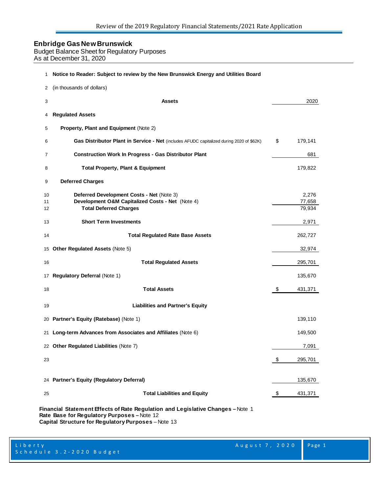Budget Balance Sheet for Regulatory Purposes As at December 31, 2020

| 1  | Notice to Reader: Subject to review by the New Brunswick Energy and Utilities Board      |               |
|----|------------------------------------------------------------------------------------------|---------------|
| 2  | (in thousands of dollars)                                                                |               |
| 3  | <b>Assets</b>                                                                            | 2020          |
| 4  | <b>Regulated Assets</b>                                                                  |               |
| 5  | Property, Plant and Equipment (Note 2)                                                   |               |
| 6  | Gas Distributor Plant in Service - Net (includes AFUDC capitalized during 2020 of \$62K) | \$<br>179,141 |
| 7  | <b>Construction Work In Progress - Gas Distributor Plant</b>                             | 681           |
| 8  | <b>Total Property, Plant &amp; Equipment</b>                                             | 179,822       |
| 9  | <b>Deferred Charges</b>                                                                  |               |
| 10 | Deferred Development Costs - Net (Note 3)                                                | 2,276         |
| 11 | Development O&M Capitalized Costs - Net (Note 4)                                         | 77,658        |
| 12 | <b>Total Deferred Charges</b>                                                            | 79,934        |
| 13 | <b>Short Term Investments</b>                                                            | 2,971         |
| 14 | <b>Total Regulated Rate Base Assets</b>                                                  | 262,727       |
|    | 15 Other Regulated Assets (Note 5)                                                       | 32,974        |
| 16 | <b>Total Regulated Assets</b>                                                            | 295,701       |
| 17 | <b>Regulatory Deferral (Note 1)</b>                                                      | 135,670       |
| 18 | <b>Total Assets</b>                                                                      | \$<br>431,371 |
| 19 | <b>Liabilities and Partner's Equity</b>                                                  |               |
|    | 20 Partner's Equity (Ratebase) (Note 1)                                                  | 139,110       |
| 21 | Long-term Advances from Associates and Affiliates (Note 6)                               | 149,500       |
|    | 22 Other Regulated Liabilities (Note 7)                                                  | 7,091         |
| 23 |                                                                                          | \$<br>295,701 |
|    | 24 Partner's Equity (Regulatory Deferral)                                                | 135,670       |
| 25 | <b>Total Liabilities and Equity</b>                                                      | \$<br>431,371 |
|    |                                                                                          |               |

**Financial Statement Effects of Rate Regulation and Legislative Changes –** Note 1 **Rate Base for Regulatory Purposes –** Note 12 **Capital Structure for Regulatory Purposes** – Note 13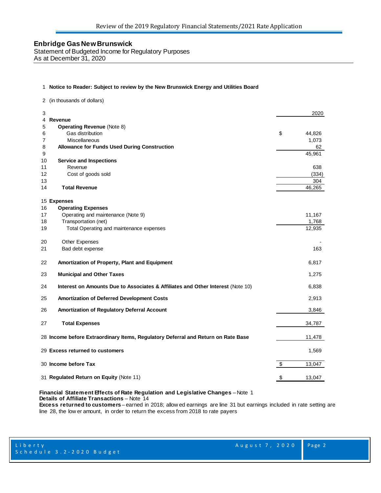Statement of Budgeted Income for Regulatory Purposes As at December 31, 2020

#### 1 **Notice to Reader: Subject to review by the New Brunswick Energy and Utilities Board**

2 (in thousands of dollars)

| 3                                                                                     |                         | 2020   |
|---------------------------------------------------------------------------------------|-------------------------|--------|
| <b>Revenue</b><br>4                                                                   |                         |        |
| 5<br><b>Operating Revenue (Note 8)</b>                                                |                         |        |
| Gas distribution<br>6                                                                 | \$                      | 44,826 |
| 7<br>Miscellaneous                                                                    |                         | 1,073  |
| 8<br><b>Allowance for Funds Used During Construction</b>                              |                         | 62     |
| $\boldsymbol{9}$                                                                      |                         | 45,961 |
| <b>Service and Inspections</b><br>10                                                  |                         |        |
| Revenue<br>11                                                                         |                         | 638    |
| 12<br>Cost of goods sold                                                              |                         | (334)  |
| 13                                                                                    |                         | 304    |
| <b>Total Revenue</b><br>14                                                            |                         | 46,265 |
|                                                                                       |                         |        |
| 15 Expenses                                                                           |                         |        |
| <b>Operating Expenses</b><br>16                                                       |                         |        |
| Operating and maintenance (Note 9)<br>17                                              |                         | 11,167 |
| Transportation (net)<br>18                                                            |                         | 1,768  |
| 19<br>Total Operating and maintenance expenses                                        |                         | 12,935 |
| 20<br>Other Expenses                                                                  |                         |        |
| 21<br>Bad debt expense                                                                |                         | 163    |
| 22<br>Amortization of Property, Plant and Equipment                                   |                         | 6,817  |
| <b>Municipal and Other Taxes</b><br>23                                                |                         | 1,275  |
| 24<br>Interest on Amounts Due to Associates & Affiliates and Other Interest (Note 10) |                         | 6,838  |
| 25<br>Amortization of Deferred Development Costs                                      |                         | 2,913  |
| 26<br>Amortization of Regulatory Deferral Account                                     |                         | 3,846  |
| 27<br><b>Total Expenses</b>                                                           |                         | 34,787 |
|                                                                                       |                         |        |
| 28 Income before Extraordinary Items, Regulatory Deferral and Return on Rate Base     |                         | 11,478 |
| 29 Excess returned to customers                                                       |                         | 1,569  |
| 30 Income before Tax                                                                  | \$                      | 13,047 |
| 31 Regulated Return on Equity (Note 11)                                               | $\sqrt[6]{\frac{1}{2}}$ | 13,047 |

#### **Financial Statement Effects of Rate Regulation and Legislative Changes** – Note 1 **Details of Affiliate Transactions** – Note 14

**Excess returned to customers** – earned in 2018; allow ed earnings are line 31 but earnings included in rate setting are line 28, the low er amount, in order to return the excess from 2018 to rate payers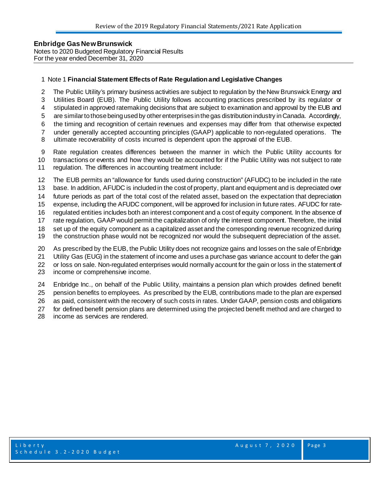#### **Enbridge Gas New Brunswick**  Notes to 2020 Budgeted Regulatory Financial Results For the year ended December 31, 2020

#### Note 1 **Financial Statement Effects of Rate Regulation and Legislative Changes**

- The Public Utility's primary business activities are subject to regulation by the New Brunswick Energy and
- Utilities Board (EUB). The Public Utility follows accounting practices prescribed by its regulator or
- stipulated in approved ratemaking decisions that are subject to examination and approval by the EUB and
- are similar to those being used by other enterprises in the gas distribution industry in Canada. Accordingly,
- the timing and recognition of certain revenues and expenses may differ from that otherwise expected
- under generally accepted accounting principles (GAAP) applicable to non-regulated operations. The
- ultimate recoverability of costs incurred is dependent upon the approval of the EUB.
- Rate regulation creates differences between the manner in which the Public Utility accounts for
- transactions or events and how they would be accounted for if the Public Utility was not subject to rate regulation. The differences in accounting treatment include:
- The EUB permits an "allowance for funds used during construction" (AFUDC) to be included in the rate
- base. In addition, AFUDC is included in the cost of property, plant and equipment and is depreciated over
- future periods as part of the total cost of the related asset, based on the expectation that depreciation
- expense, including the AFUDC component, will be approved for inclusion in future rates. AFUDC for rate-
- regulated entities includes both an interest component and a cost of equity component. In the absence of
- rate regulation, GAAP would permit the capitalization of only the interest component. Therefore, the initial
- set up of the equity component as a capitalized asset and the corresponding revenue recognized during
- the construction phase would not be recognized nor would the subsequent depreciation of the asset.
- As prescribed by the EUB, the Public Utility does not recognize gains and losses on the sale of Enbridge
- Utility Gas (EUG) in the statement of income and uses a purchase gas variance account to defer the gain
- or loss on sale. Non-regulated enterprises would normally account for the gain or loss in the statement of
- income or comprehensive income.
- Enbridge Inc., on behalf of the Public Utility, maintains a pension plan which provides defined benefit
- pension benefits to employees. As prescribed by the EUB, contributions made to the plan are expensed
- as paid, consistent with the recovery of such costs in rates. Under GAAP, pension costs and obligations
- for defined benefit pension plans are determined using the projected benefit method and are charged to
- income as services are rendered.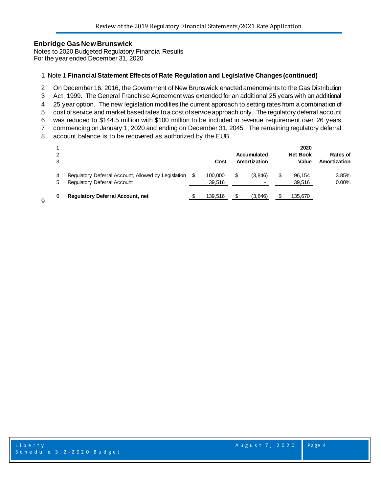Notes to 2020 Budgeted Regulatory Financial Results For the year ended December 31, 2020

#### Note 1 **Financial Statement Effects of Rate Regulation and Legislative Changes (continued)**

On December 16, 2016, the Government of New Brunswick enacted amendments to the Gas Distribution

Act, 1999. The General Franchise Agreement was extended for an additional 25 years with an additional

25 year option. The new legislation modifies the current approach to setting rates from a combination of

 cost of service and market based rates to a cost of service approach only. The regulatory deferral account was reduced to \$144.5 million with \$100 million to be included in revenue requirement over 26 years

commencing on January 1, 2020 and ending on December 31, 2045. The remaining regulatory deferral

account balance is to be recovered as authorized by the EUB.

|        |                                                                                    |     | Cost              | Accumulated<br>Amortization | 2020<br><b>Net Book</b><br>Value | <b>Rates of</b><br>Amortization |
|--------|------------------------------------------------------------------------------------|-----|-------------------|-----------------------------|----------------------------------|---------------------------------|
| 4<br>5 | Regulatory Deferral Account, Allowed by Legislation<br>Regulatory Deferral Account | \$. | 100,000<br>39,516 | \$<br>(3.846)               | 96,154<br>39,516                 | 3.85%<br>0.00%                  |
| 6      | <b>Regulatory Deferral Account, net</b>                                            |     | 139,516           | \$<br>(3,846)               | 135,670                          |                                 |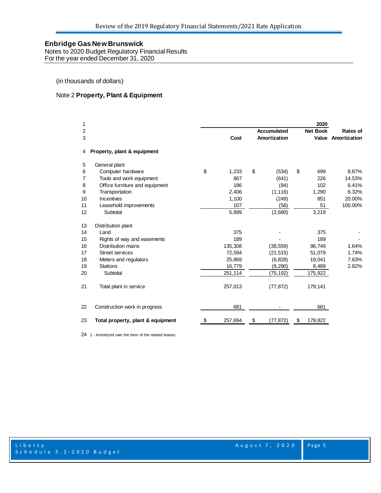Notes to 2020 Budget Regulatory Financial Results For the year ended December 31, 2020

(in thousands of dollars)

#### Note 2 **Property, Plant & Equipment**

| 1  |                                   |             |                    | 2020            |                           |
|----|-----------------------------------|-------------|--------------------|-----------------|---------------------------|
| 2  |                                   |             | <b>Accumulated</b> | <b>Net Book</b> | <b>Rates of</b>           |
| 3  |                                   | Cost        | Amortization       |                 | <b>Value Amortization</b> |
| 4  | Property, plant & equipment       |             |                    |                 |                           |
| 5  | General plant                     |             |                    |                 |                           |
| 6  | Computer hardware                 | \$<br>1,233 | \$<br>(534)        | \$<br>699       | 8.87%                     |
| 7  | Tools and work equipment          | 867         | (641)              | 226             | 14.53%                    |
| 8  | Office furniture and equipment    | 186         | (84)               | 102             | 6.41%                     |
| 9  | Transportation                    | 2,406       | (1, 116)           | 1,290           | 6.32%                     |
| 10 | Incentives                        | 1,100       | (249)              | 851             | 20.00%                    |
| 11 | Leasehold improvements            | 107         | (56)               | 51              | 100.00%                   |
| 12 | Subtotal                          | 5,899       | (2,680)            | 3,219           |                           |
| 13 | Distribution plant                |             |                    |                 |                           |
| 14 | Land                              | 375         |                    | 375             |                           |
| 15 | Rights of way and easements       | 189         |                    | 189             |                           |
| 16 | Distribution mains                | 135,308     | (38, 559)          | 96,749          | 1.64%                     |
| 17 | Street services                   | 72,594      | (21, 515)          | 51,079          | 1.74%                     |
| 18 | Meters and regulators             | 25,869      | (6, 828)           | 19,041          | 7.63%                     |
| 19 | <b>Stations</b>                   | 16,779      | (8, 290)           | 8,489           | 2.82%                     |
| 20 | Subtotal                          | 251,114     | (75, 192)          | 175,922         |                           |
| 21 | Total plant in service            | 257,013     | (77, 872)          | 179,141         |                           |
| 22 | Construction work in progress     | 681         |                    | 681             |                           |
| 23 | Total property, plant & equipment | 257,694     | \$<br>(77, 872)    | \$<br>179,822   |                           |
|    |                                   |             |                    |                 |                           |

1 - Amortized over the term of the related leases.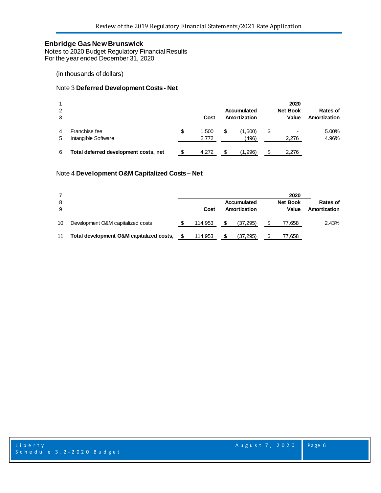Notes to 2020 Budget Regulatory Financial Results For the year ended December 31, 2020

(in thousands of dollars)

#### Note 3 **Deferred Development Costs - Net**

|        |                                       |   |                |     |                             |    | 2020                     |                          |
|--------|---------------------------------------|---|----------------|-----|-----------------------------|----|--------------------------|--------------------------|
| 2<br>3 |                                       |   | Cost           |     | Accumulated<br>Amortization |    | <b>Net Book</b><br>Value | Rates of<br>Amortization |
| 4<br>5 | Franchise fee<br>Intangible Software  | S | 1.500<br>2.772 | S   | (1,500)<br>(496)            | \$ | ۰<br>2.276               | 5.00%<br>4.96%           |
| 6      | Total deferred development costs, net |   | 4.272          | \$. | (1,996)                     | S  | 2.276                    |                          |

#### Note 4 **Development O&M Capitalized Costs – Net**

|    |                                          |         |   |              | 2020            |              |
|----|------------------------------------------|---------|---|--------------|-----------------|--------------|
| 8  |                                          |         |   | Accumulated  | <b>Net Book</b> | Rates of     |
| 9  |                                          | Cost    |   | Amortization | Value           | Amortization |
| 10 | Development O&M capitalized costs        | 114.953 | S | (37, 295)    | 77,658          | 2.43%        |
| 11 | Total development O&M capitalized costs, | 114.953 | S | (37, 295)    | 77,658          |              |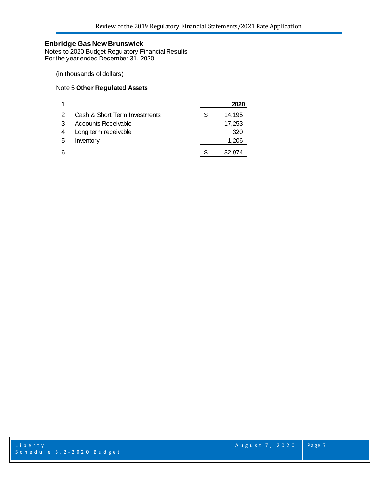Notes to 2020 Budget Regulatory Financial Results For the year ended December 31, 2020

#### (in thousands of dollars)

#### Note 5 **Other Regulated Assets**

|   |                               |    | 2020   |
|---|-------------------------------|----|--------|
| 2 | Cash & Short Term Investments | Ж, | 14,195 |
|   | Accounts Receivable           |    | 17,253 |
|   | Long term receivable          |    | 320    |
| 5 | Inventory                     |    | 1,206  |
| 6 |                               |    | 32,974 |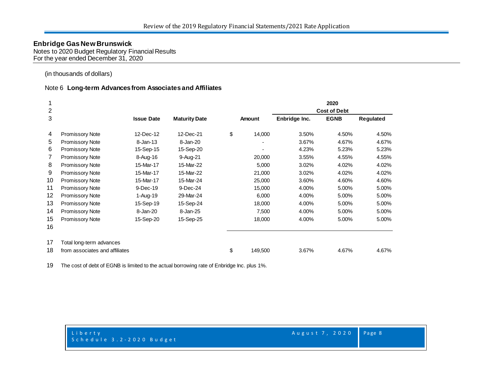Notes to 2020 Budget Regulatory Financial Results For the year ended December 31, 2020

(in thousands of dollars)

#### Note 6 **Long-term Advances from Associates and Affiliates**

| 1              |                                |                   |                      |    |         |                     | 2020        |           |  |
|----------------|--------------------------------|-------------------|----------------------|----|---------|---------------------|-------------|-----------|--|
| $\overline{2}$ |                                |                   |                      |    |         | <b>Cost of Debt</b> |             |           |  |
| 3              |                                | <b>Issue Date</b> | <b>Maturity Date</b> |    | Amount  | Enbridge Inc.       | <b>EGNB</b> | Regulated |  |
| 4              | <b>Promissory Note</b>         | 12-Dec-12         | 12-Dec-21            | \$ | 14,000  | 3.50%               | 4.50%       | 4.50%     |  |
| 5              | Promissory Note                | $8 - Jan-13$      | 8-Jan-20             |    |         | 3.67%               | 4.67%       | 4.67%     |  |
| 6              | <b>Promissory Note</b>         | 15-Sep-15         | 15-Sep-20            |    |         | 4.23%               | 5.23%       | 5.23%     |  |
| 7              | <b>Promissory Note</b>         | 8-Aug-16          | 9-Aug-21             |    | 20,000  | 3.55%               | 4.55%       | 4.55%     |  |
| 8              | <b>Promissory Note</b>         | 15-Mar-17         | 15-Mar-22            |    | 5,000   | 3.02%               | 4.02%       | 4.02%     |  |
| 9              | <b>Promissory Note</b>         | 15-Mar-17         | 15-Mar-22            |    | 21,000  | 3.02%               | 4.02%       | 4.02%     |  |
| 10             | <b>Promissory Note</b>         | 15-Mar-17         | 15-Mar-24            |    | 25,000  | 3.60%               | 4.60%       | 4.60%     |  |
| 11             | <b>Promissory Note</b>         | 9-Dec-19          | 9-Dec-24             |    | 15,000  | 4.00%               | 5.00%       | 5.00%     |  |
| 12             | <b>Promissory Note</b>         | 1-Aug-19          | 29-Mar-24            |    | 6,000   | 4.00%               | 5.00%       | 5.00%     |  |
| 13             | <b>Promissory Note</b>         | 15-Sep-19         | 15-Sep-24            |    | 18,000  | 4.00%               | 5.00%       | 5.00%     |  |
| 14             | Promissory Note                | 8-Jan-20          | 8-Jan-25             |    | 7,500   | 4.00%               | 5.00%       | 5.00%     |  |
| 15             | Promissory Note                | 15-Sep-20         | 15-Sep-25            |    | 18,000  | 4.00%               | 5.00%       | 5.00%     |  |
| 16             |                                |                   |                      |    |         |                     |             |           |  |
| 17             | Total long-term advances       |                   |                      |    |         |                     |             |           |  |
| 18             | from associates and affiliates |                   |                      | \$ | 149,500 | 3.67%               | 4.67%       | 4.67%     |  |

The cost of debt of EGNB is limited to the actual borrowing rate of Enbridge Inc. plus 1%.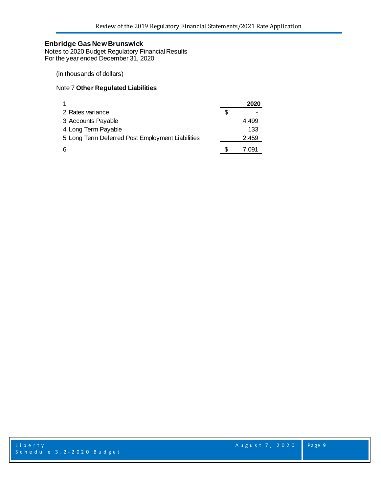Notes to 2020 Budget Regulatory Financial Results For the year ended December 31, 2020

#### (in thousands of dollars)

#### Note 7 **Other Regulated Liabilities**

| -1                                               |   | 2020  |
|--------------------------------------------------|---|-------|
| 2 Rates variance                                 | S |       |
| 3 Accounts Payable                               |   | 4.499 |
| 4 Long Term Payable                              |   | 133   |
| 5 Long Term Deferred Post Employment Liabilities |   | 2,459 |
| 6                                                |   | 7.091 |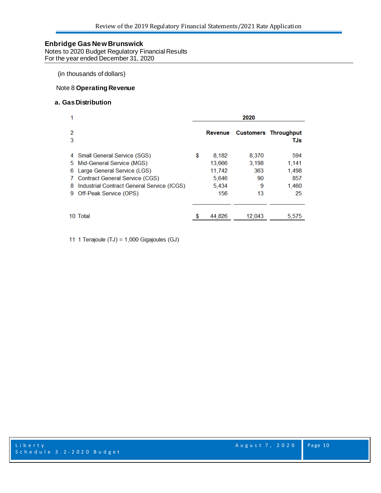Notes to 2020 Budget Regulatory Financial Results For the year ended December 31, 2020

(in thousands of dollars)

#### Note 8 **Operating Revenue**

#### **a. GasDistribution**

|                         |                                                                                                                                                                                                            | 2020 |                                                    |                                        |                                             |  |  |  |
|-------------------------|------------------------------------------------------------------------------------------------------------------------------------------------------------------------------------------------------------|------|----------------------------------------------------|----------------------------------------|---------------------------------------------|--|--|--|
| 2<br>3                  |                                                                                                                                                                                                            |      | Revenue                                            |                                        | <b>Customers Throughput</b><br>TJs          |  |  |  |
| 5.<br>6<br>7.<br>8<br>9 | 4 Small General Service (SGS)<br>Mid-General Service (MGS)<br>Large General Service (LGS)<br><b>Contract General Service (CGS)</b><br>Industrial Contract General Service (ICGS)<br>Off-Peak Service (OPS) | \$   | 8,182<br>13,666<br>11,742<br>5.646<br>5,434<br>156 | 8.370<br>3,198<br>363<br>90<br>9<br>13 | 594<br>1,141<br>1,498<br>857<br>1,460<br>25 |  |  |  |
|                         | 10 Total                                                                                                                                                                                                   |      | 44,826                                             | 12,043                                 | 5,575                                       |  |  |  |

11 1 Terajoule (TJ) = 1,000 Gigajoules (GJ)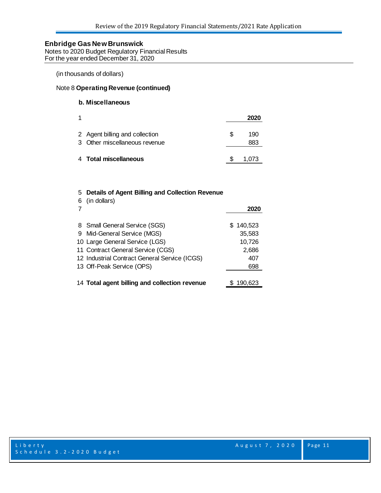Notes to 2020 Budget Regulatory Financial Results For the year ended December 31, 2020

(in thousands of dollars)

#### Note 8 **Operating Revenue (continued)**

#### **b. Miscellaneous**

| 1 |                                                                 |     | 2020       |
|---|-----------------------------------------------------------------|-----|------------|
|   | 2 Agent billing and collection<br>3 Other miscellaneous revenue | \$. | 190<br>883 |
|   | 4 Total miscellaneous                                           |     | 1,073      |

## 5 **Details of Agent Billing and Collection Revenue**

| 7 | 6 (in dollars)                                | 2020      |
|---|-----------------------------------------------|-----------|
|   |                                               |           |
|   | 8 Small General Service (SGS)                 | \$140,523 |
|   | 9 Mid-General Service (MGS)                   | 35,583    |
|   | 10 Large General Service (LGS)                | 10,726    |
|   | 11 Contract General Service (CGS)             | 2,686     |
|   | 12 Industrial Contract General Service (ICGS) | 407       |
|   | 13 Off-Peak Service (OPS)                     | 698       |
|   |                                               |           |
|   | 14 Total agent billing and collection revenue | \$190.623 |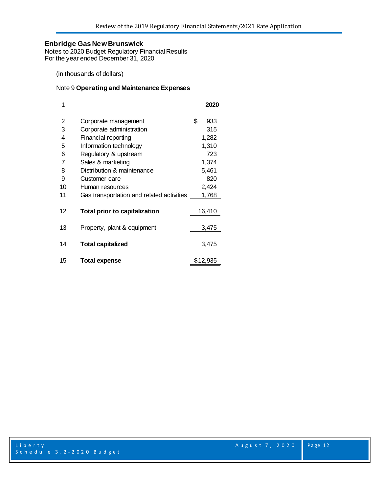Notes to 2020 Budget Regulatory Financial Results For the year ended December 31, 2020

(in thousands of dollars)

#### Note 9 **Operating and Maintenance Expenses**

| 1  |                                           | 2020      |
|----|-------------------------------------------|-----------|
| 2  | Corporate management                      | \$<br>933 |
| 3  | Corporate administration                  | 315       |
| 4  | Financial reporting                       | 1,282     |
| 5  | Information technology                    | 1,310     |
| 6  | Regulatory & upstream                     | 723       |
| 7  | Sales & marketing                         | 1,374     |
| 8  | Distribution & maintenance                | 5,461     |
| 9  | Customer care                             | 820       |
| 10 | Human resources                           | 2,424     |
| 11 | Gas transportation and related activities | 1,768     |
| 12 | <b>Total prior to capitalization</b>      | 16,410    |
| 13 | Property, plant & equipment               | 3,475     |
| 14 | <b>Total capitalized</b>                  | 3,475     |
| 15 | <b>Total expense</b>                      | \$12,935  |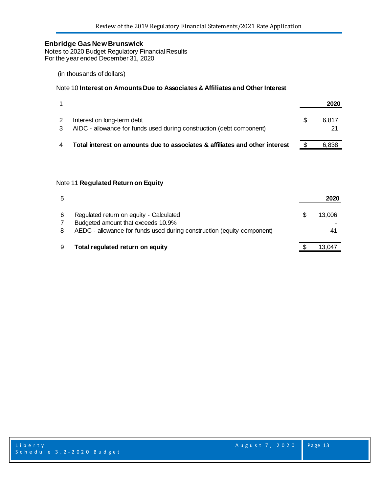Notes to 2020 Budget Regulatory Financial Results For the year ended December 31, 2020

### (in thousands of dollars)

#### Note 10 **Interest on Amounts Due to Associates & Affiliates and Other Interest**

|                                                                                                    | 2020        |
|----------------------------------------------------------------------------------------------------|-------------|
| Interest on long-term debt<br>AIDC - allowance for funds used during construction (debt component) | 6.817<br>21 |
| Total interest on amounts due to associates & affiliates and other interest                        | 6.838       |

#### Note 11 **Regulated Return on Equity**

| 5      |                                                                                                                                                         | 2020         |
|--------|---------------------------------------------------------------------------------------------------------------------------------------------------------|--------------|
| 6<br>8 | Regulated return on equity - Calculated<br>Budgeted amount that exceeds 10.9%<br>AEDC - allowance for funds used during construction (equity component) | 13.006<br>41 |
|        | Total regulated return on equity                                                                                                                        | 13.047       |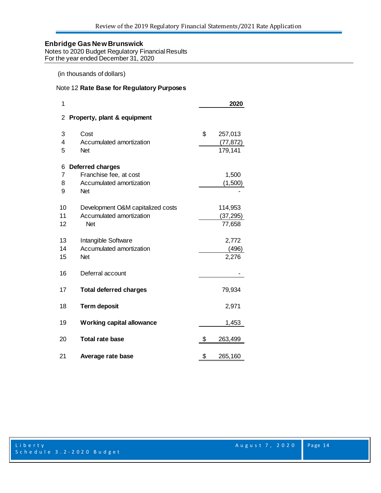Notes to 2020 Budget Regulatory Financial Results For the year ended December 31, 2020

(in thousands of dollars)

#### Note 12 **Rate Base for Regulatory Purposes**

| 1  |                                   | 2020          |
|----|-----------------------------------|---------------|
| 2  | Property, plant & equipment       |               |
| 3  | Cost                              | \$<br>257,013 |
| 4  | Accumulated amortization          | (77, 872)     |
| 5  | <b>Net</b>                        | 179,141       |
| 6  | Deferred charges                  |               |
| 7  | Franchise fee, at cost            | 1,500         |
| 8  | Accumulated amortization          | (1,500)       |
| 9  | <b>Net</b>                        |               |
| 10 | Development O&M capitalized costs | 114,953       |
| 11 | Accumulated amortization          | (37,295)      |
| 12 | <b>Net</b>                        | 77,658        |
| 13 | Intangible Software               | 2,772         |
| 14 | Accumulated amortization          | (496)         |
| 15 | <b>Net</b>                        | 2,276         |
| 16 | Deferral account                  |               |
| 17 | <b>Total deferred charges</b>     | 79,934        |
| 18 | <b>Term deposit</b>               | 2,971         |
| 19 | <b>Working capital allowance</b>  | 1,453         |
| 20 | <b>Total rate base</b>            | \$<br>263,499 |
| 21 | Average rate base                 | \$<br>265,160 |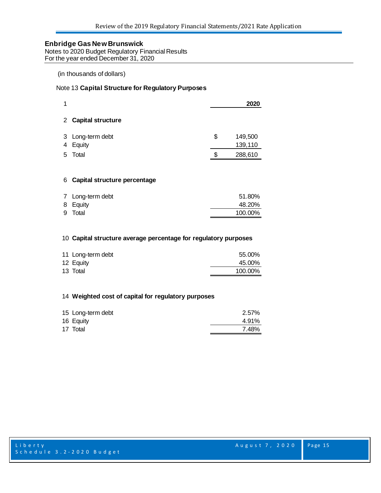Notes to 2020 Budget Regulatory Financial Results For the year ended December 31, 2020

(in thousands of dollars)

#### Note 13 **Capital Structure for Regulatory Purposes**

| 1 |                            | 2020                     |
|---|----------------------------|--------------------------|
|   | 2 Capital structure        |                          |
| 4 | 3 Long-term debt<br>Equity | \$<br>149,500<br>139,110 |
| 5 | Total                      | 288,610                  |
|   |                            |                          |

#### **Capital structure percentage**

| 7 Long-term debt | 51.80%  |
|------------------|---------|
| 8 Equity         | 48.20%  |
| 9 Total          | 100.00% |
|                  |         |

#### **Capital structure average percentage for regulatory purposes**

| 11 Long-term debt | 55.00%  |
|-------------------|---------|
| 12 Equity         | 45.00%  |
| 13 Total          | 100.00% |

#### **Weighted cost of capital for regulatory purposes**

| 15 Long-term debt | 2.57% |
|-------------------|-------|
| 16 Equity         | 4.91% |
| 17 Total          | 7.48% |